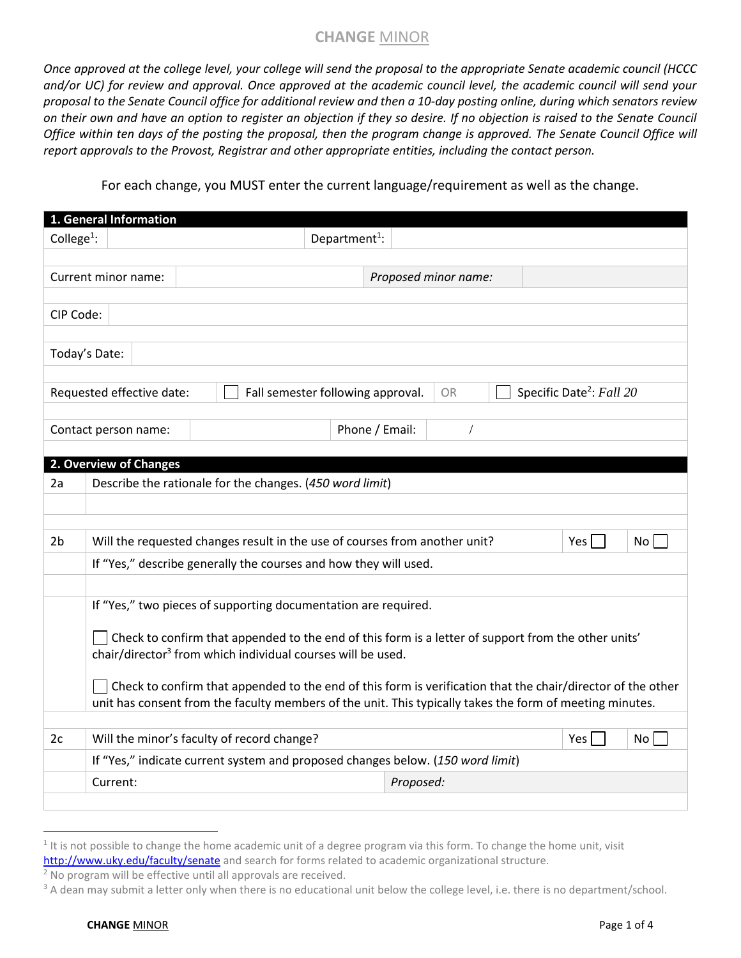*Once approved at the college level, your college will send the proposal to the appropriate Senate academic council (HCCC and/or UC) for review and approval. Once approved at the academic council level, the academic council will send your proposal to the Senate Council office for additional review and then a 10-day posting online, during which senators review on their own and have an option to register an objection if they so desire. If no objection is raised to the Senate Council Office within ten days of the posting the proposal, then the program change is approved. The Senate Council Office will report approvals to the Provost, Registrar and other appropriate entities, including the contact person.*

For each change, you MUST enter the current language/requirement as well as the change.

|                        | 1. General Information                                                                                      |                                                                                |                                   |                      |                                      |  |  |  |  |
|------------------------|-------------------------------------------------------------------------------------------------------------|--------------------------------------------------------------------------------|-----------------------------------|----------------------|--------------------------------------|--|--|--|--|
| College <sup>1</sup> : |                                                                                                             |                                                                                | Department <sup>1</sup> :         |                      |                                      |  |  |  |  |
|                        | Current minor name:                                                                                         |                                                                                |                                   |                      |                                      |  |  |  |  |
|                        |                                                                                                             |                                                                                |                                   | Proposed minor name: |                                      |  |  |  |  |
| CIP Code:              |                                                                                                             |                                                                                |                                   |                      |                                      |  |  |  |  |
|                        |                                                                                                             |                                                                                |                                   |                      |                                      |  |  |  |  |
|                        | Today's Date:                                                                                               |                                                                                |                                   |                      |                                      |  |  |  |  |
|                        |                                                                                                             |                                                                                |                                   |                      |                                      |  |  |  |  |
|                        | Requested effective date:                                                                                   |                                                                                | Fall semester following approval. | <b>OR</b>            | Specific Date <sup>2</sup> : Fall 20 |  |  |  |  |
|                        | Contact person name:                                                                                        |                                                                                |                                   | Phone / Email:       |                                      |  |  |  |  |
|                        |                                                                                                             |                                                                                |                                   |                      |                                      |  |  |  |  |
|                        | 2. Overview of Changes                                                                                      |                                                                                |                                   |                      |                                      |  |  |  |  |
| 2a                     |                                                                                                             | Describe the rationale for the changes. (450 word limit)                       |                                   |                      |                                      |  |  |  |  |
|                        |                                                                                                             |                                                                                |                                   |                      |                                      |  |  |  |  |
| 2 <sub>b</sub>         |                                                                                                             |                                                                                |                                   |                      | No<br>Yes l                          |  |  |  |  |
|                        | Will the requested changes result in the use of courses from another unit?                                  |                                                                                |                                   |                      |                                      |  |  |  |  |
|                        | If "Yes," describe generally the courses and how they will used.                                            |                                                                                |                                   |                      |                                      |  |  |  |  |
|                        | If "Yes," two pieces of supporting documentation are required.                                              |                                                                                |                                   |                      |                                      |  |  |  |  |
|                        |                                                                                                             |                                                                                |                                   |                      |                                      |  |  |  |  |
|                        | Check to confirm that appended to the end of this form is a letter of support from the other units'         |                                                                                |                                   |                      |                                      |  |  |  |  |
|                        | chair/director <sup>3</sup> from which individual courses will be used.                                     |                                                                                |                                   |                      |                                      |  |  |  |  |
|                        | Check to confirm that appended to the end of this form is verification that the chair/director of the other |                                                                                |                                   |                      |                                      |  |  |  |  |
|                        | unit has consent from the faculty members of the unit. This typically takes the form of meeting minutes.    |                                                                                |                                   |                      |                                      |  |  |  |  |
| 2c                     |                                                                                                             | Will the minor's faculty of record change?                                     |                                   |                      | Yes<br>No                            |  |  |  |  |
|                        |                                                                                                             | If "Yes," indicate current system and proposed changes below. (150 word limit) |                                   |                      |                                      |  |  |  |  |
|                        | Current:                                                                                                    |                                                                                |                                   | Proposed:            |                                      |  |  |  |  |
|                        |                                                                                                             |                                                                                |                                   |                      |                                      |  |  |  |  |

 $\overline{a}$ 

 $1$  It is not possible to change the home academic unit of a degree program via this form. To change the home unit, visit <http://www.uky.edu/faculty/senate> and search for forms related to academic organizational structure.

<sup>2</sup> No program will be effective until all approvals are received.

<sup>&</sup>lt;sup>3</sup> A dean may submit a letter only when there is no educational unit below the college level, i.e. there is no department/school.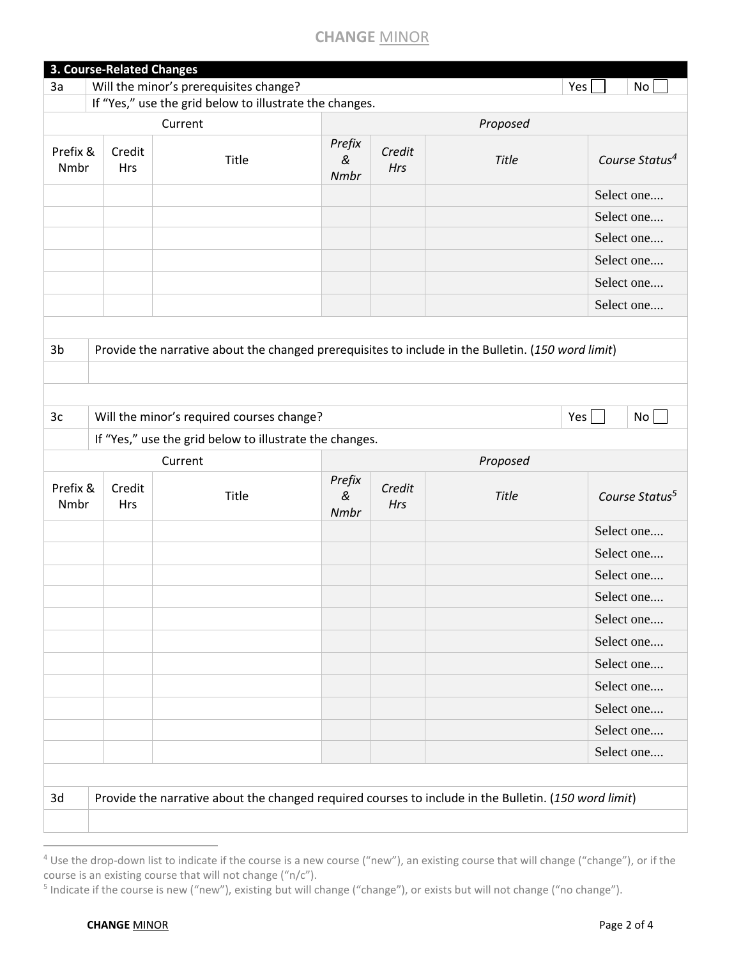| Will the minor's prerequisites change?<br>3a<br>Yes<br>No<br>If "Yes," use the grid below to illustrate the changes.<br>Current<br>Proposed<br>Prefix<br>Prefix &<br>Credit<br>Credit<br>Title<br>$\&$<br>Title<br>Nmbr<br>Hrs<br><b>Hrs</b><br>Nmbr<br>Select one<br>Select one<br>Select one<br>Select one<br>Select one<br>Select one<br>Provide the narrative about the changed prerequisites to include in the Bulletin. (150 word limit)<br>Will the minor's required courses change?<br>Yes<br>No <sub>1</sub><br>If "Yes," use the grid below to illustrate the changes.<br>Proposed<br>Current<br>Prefix<br>Prefix &<br>Credit<br>Credit<br>$\&$<br>Title<br>Title<br>Hrs<br>Nmbr<br>Hrs<br>Nmbr<br>Select one<br>Select one<br>Select one<br>Select one<br>Select one<br>Select one<br>Select one<br>Select one<br>Select one<br>Select one<br>Select one<br>Provide the narrative about the changed required courses to include in the Bulletin. (150 word limit)<br>3d |                | <b>3. Course-Related Changes</b> |  |  |  |  |                            |  |  |
|------------------------------------------------------------------------------------------------------------------------------------------------------------------------------------------------------------------------------------------------------------------------------------------------------------------------------------------------------------------------------------------------------------------------------------------------------------------------------------------------------------------------------------------------------------------------------------------------------------------------------------------------------------------------------------------------------------------------------------------------------------------------------------------------------------------------------------------------------------------------------------------------------------------------------------------------------------------------------------|----------------|----------------------------------|--|--|--|--|----------------------------|--|--|
|                                                                                                                                                                                                                                                                                                                                                                                                                                                                                                                                                                                                                                                                                                                                                                                                                                                                                                                                                                                    |                |                                  |  |  |  |  |                            |  |  |
|                                                                                                                                                                                                                                                                                                                                                                                                                                                                                                                                                                                                                                                                                                                                                                                                                                                                                                                                                                                    |                |                                  |  |  |  |  |                            |  |  |
|                                                                                                                                                                                                                                                                                                                                                                                                                                                                                                                                                                                                                                                                                                                                                                                                                                                                                                                                                                                    |                |                                  |  |  |  |  |                            |  |  |
|                                                                                                                                                                                                                                                                                                                                                                                                                                                                                                                                                                                                                                                                                                                                                                                                                                                                                                                                                                                    |                |                                  |  |  |  |  | Course Status <sup>4</sup> |  |  |
|                                                                                                                                                                                                                                                                                                                                                                                                                                                                                                                                                                                                                                                                                                                                                                                                                                                                                                                                                                                    |                |                                  |  |  |  |  |                            |  |  |
|                                                                                                                                                                                                                                                                                                                                                                                                                                                                                                                                                                                                                                                                                                                                                                                                                                                                                                                                                                                    |                |                                  |  |  |  |  |                            |  |  |
|                                                                                                                                                                                                                                                                                                                                                                                                                                                                                                                                                                                                                                                                                                                                                                                                                                                                                                                                                                                    |                |                                  |  |  |  |  |                            |  |  |
|                                                                                                                                                                                                                                                                                                                                                                                                                                                                                                                                                                                                                                                                                                                                                                                                                                                                                                                                                                                    |                |                                  |  |  |  |  |                            |  |  |
|                                                                                                                                                                                                                                                                                                                                                                                                                                                                                                                                                                                                                                                                                                                                                                                                                                                                                                                                                                                    |                |                                  |  |  |  |  |                            |  |  |
|                                                                                                                                                                                                                                                                                                                                                                                                                                                                                                                                                                                                                                                                                                                                                                                                                                                                                                                                                                                    |                |                                  |  |  |  |  |                            |  |  |
|                                                                                                                                                                                                                                                                                                                                                                                                                                                                                                                                                                                                                                                                                                                                                                                                                                                                                                                                                                                    |                |                                  |  |  |  |  |                            |  |  |
|                                                                                                                                                                                                                                                                                                                                                                                                                                                                                                                                                                                                                                                                                                                                                                                                                                                                                                                                                                                    | 3 <sub>b</sub> |                                  |  |  |  |  |                            |  |  |
|                                                                                                                                                                                                                                                                                                                                                                                                                                                                                                                                                                                                                                                                                                                                                                                                                                                                                                                                                                                    |                |                                  |  |  |  |  |                            |  |  |
|                                                                                                                                                                                                                                                                                                                                                                                                                                                                                                                                                                                                                                                                                                                                                                                                                                                                                                                                                                                    |                |                                  |  |  |  |  |                            |  |  |
|                                                                                                                                                                                                                                                                                                                                                                                                                                                                                                                                                                                                                                                                                                                                                                                                                                                                                                                                                                                    | 3 <sub>c</sub> |                                  |  |  |  |  |                            |  |  |
|                                                                                                                                                                                                                                                                                                                                                                                                                                                                                                                                                                                                                                                                                                                                                                                                                                                                                                                                                                                    |                |                                  |  |  |  |  |                            |  |  |
|                                                                                                                                                                                                                                                                                                                                                                                                                                                                                                                                                                                                                                                                                                                                                                                                                                                                                                                                                                                    |                |                                  |  |  |  |  |                            |  |  |
|                                                                                                                                                                                                                                                                                                                                                                                                                                                                                                                                                                                                                                                                                                                                                                                                                                                                                                                                                                                    |                |                                  |  |  |  |  | Course Status <sup>5</sup> |  |  |
|                                                                                                                                                                                                                                                                                                                                                                                                                                                                                                                                                                                                                                                                                                                                                                                                                                                                                                                                                                                    |                |                                  |  |  |  |  |                            |  |  |
|                                                                                                                                                                                                                                                                                                                                                                                                                                                                                                                                                                                                                                                                                                                                                                                                                                                                                                                                                                                    |                |                                  |  |  |  |  |                            |  |  |
|                                                                                                                                                                                                                                                                                                                                                                                                                                                                                                                                                                                                                                                                                                                                                                                                                                                                                                                                                                                    |                |                                  |  |  |  |  |                            |  |  |
|                                                                                                                                                                                                                                                                                                                                                                                                                                                                                                                                                                                                                                                                                                                                                                                                                                                                                                                                                                                    |                |                                  |  |  |  |  |                            |  |  |
|                                                                                                                                                                                                                                                                                                                                                                                                                                                                                                                                                                                                                                                                                                                                                                                                                                                                                                                                                                                    |                |                                  |  |  |  |  |                            |  |  |
|                                                                                                                                                                                                                                                                                                                                                                                                                                                                                                                                                                                                                                                                                                                                                                                                                                                                                                                                                                                    |                |                                  |  |  |  |  |                            |  |  |
|                                                                                                                                                                                                                                                                                                                                                                                                                                                                                                                                                                                                                                                                                                                                                                                                                                                                                                                                                                                    |                |                                  |  |  |  |  |                            |  |  |
|                                                                                                                                                                                                                                                                                                                                                                                                                                                                                                                                                                                                                                                                                                                                                                                                                                                                                                                                                                                    |                |                                  |  |  |  |  |                            |  |  |
|                                                                                                                                                                                                                                                                                                                                                                                                                                                                                                                                                                                                                                                                                                                                                                                                                                                                                                                                                                                    |                |                                  |  |  |  |  |                            |  |  |
|                                                                                                                                                                                                                                                                                                                                                                                                                                                                                                                                                                                                                                                                                                                                                                                                                                                                                                                                                                                    |                |                                  |  |  |  |  |                            |  |  |
|                                                                                                                                                                                                                                                                                                                                                                                                                                                                                                                                                                                                                                                                                                                                                                                                                                                                                                                                                                                    |                |                                  |  |  |  |  |                            |  |  |
|                                                                                                                                                                                                                                                                                                                                                                                                                                                                                                                                                                                                                                                                                                                                                                                                                                                                                                                                                                                    |                |                                  |  |  |  |  |                            |  |  |
|                                                                                                                                                                                                                                                                                                                                                                                                                                                                                                                                                                                                                                                                                                                                                                                                                                                                                                                                                                                    |                |                                  |  |  |  |  |                            |  |  |
|                                                                                                                                                                                                                                                                                                                                                                                                                                                                                                                                                                                                                                                                                                                                                                                                                                                                                                                                                                                    |                |                                  |  |  |  |  |                            |  |  |
|                                                                                                                                                                                                                                                                                                                                                                                                                                                                                                                                                                                                                                                                                                                                                                                                                                                                                                                                                                                    |                |                                  |  |  |  |  |                            |  |  |

<sup>&</sup>lt;sup>4</sup> Use the drop-down list to indicate if the course is a new course ("new"), an existing course that will change ("change"), or if the course is an existing course that will not change ("n/c").

<sup>&</sup>lt;sup>5</sup> Indicate if the course is new ("new"), existing but will change ("change"), or exists but will not change ("no change").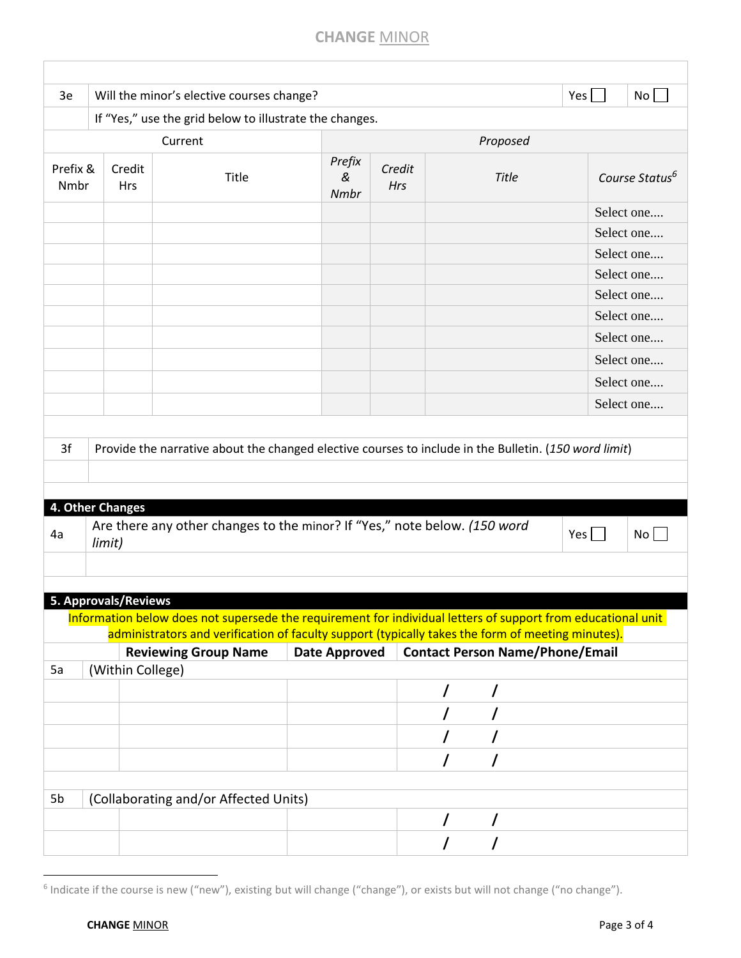|                  |                      | Will the minor's elective courses change?                                                                                        |                      |               |   |              |                                        |                            |
|------------------|----------------------|----------------------------------------------------------------------------------------------------------------------------------|----------------------|---------------|---|--------------|----------------------------------------|----------------------------|
|                  |                      | If "Yes," use the grid below to illustrate the changes.                                                                          |                      |               |   |              |                                        |                            |
|                  |                      | Current                                                                                                                          |                      |               |   | Proposed     |                                        |                            |
| Prefix &<br>Nmbr | Credit<br><b>Hrs</b> | Title                                                                                                                            | Prefix<br>&<br>Nmbr  | Credit<br>Hrs |   | <b>Title</b> |                                        | Course Status <sup>6</sup> |
|                  |                      |                                                                                                                                  |                      |               |   |              |                                        | Select one                 |
|                  |                      |                                                                                                                                  |                      |               |   |              |                                        | Select one                 |
|                  |                      |                                                                                                                                  |                      |               |   |              |                                        | Select one                 |
|                  |                      |                                                                                                                                  |                      |               |   |              |                                        | Select one                 |
|                  |                      |                                                                                                                                  |                      |               |   |              |                                        | Select one                 |
|                  |                      |                                                                                                                                  |                      |               |   |              |                                        | Select one                 |
|                  |                      |                                                                                                                                  |                      |               |   |              |                                        | Select one                 |
|                  |                      |                                                                                                                                  |                      |               |   |              |                                        | Select one                 |
|                  |                      |                                                                                                                                  |                      |               |   |              |                                        | Select one                 |
|                  |                      |                                                                                                                                  |                      |               |   |              |                                        | Select one                 |
| 3f               |                      | Provide the narrative about the changed elective courses to include in the Bulletin. (150 word limit)                            |                      |               |   |              |                                        |                            |
| 4. Other Changes |                      | Are there any other changes to the minor? If "Yes," note below. (150 word                                                        |                      |               |   |              |                                        |                            |
| 4a               | limit)               |                                                                                                                                  |                      |               |   |              | Yes $\vert$                            | No                         |
|                  |                      |                                                                                                                                  |                      |               |   |              |                                        |                            |
|                  | 5. Approvals/Reviews |                                                                                                                                  |                      |               |   |              |                                        |                            |
|                  |                      | Information below does not supersede the requirement for individual letters of support from educational unit                     |                      |               |   |              |                                        |                            |
|                  |                      | administrators and verification of faculty support (typically takes the form of meeting minutes).<br><b>Reviewing Group Name</b> | <b>Date Approved</b> |               |   |              | <b>Contact Person Name/Phone/Email</b> |                            |
|                  | (Within College)     |                                                                                                                                  |                      |               |   |              |                                        |                            |
|                  |                      |                                                                                                                                  |                      |               | I | I            |                                        |                            |
|                  |                      |                                                                                                                                  |                      |               | I |              |                                        |                            |
|                  |                      |                                                                                                                                  |                      |               |   |              |                                        |                            |
|                  |                      |                                                                                                                                  |                      |               | I |              |                                        |                            |
| 5a               |                      |                                                                                                                                  |                      |               |   |              |                                        |                            |
| 5b               |                      | (Collaborating and/or Affected Units)                                                                                            |                      |               |   |              |                                        |                            |
|                  |                      |                                                                                                                                  |                      |               | / | $\prime$     |                                        |                            |

 $\overline{a}$ 

 $^6$  Indicate if the course is new ("new"), existing but will change ("change"), or exists but will not change ("no change").